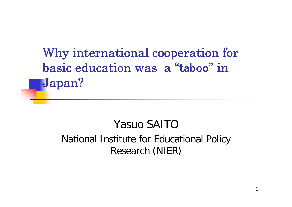Why international cooperation for basic education was a "taboo" in Japan?

#### Yasuo SAITONational Institute for Educational Policy Research (NIER)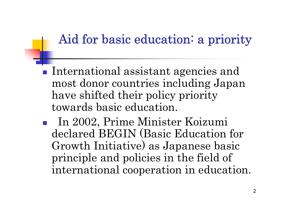### Aid for basic education: a priority

- **International assistant agencies and** most donor countries including Japan have shifted their policy priority towards basic education.
- In 2002, Prime Minister Koizumi declared BEGIN (Basic Education for Growth Initiative) as Japanese basic principle and policies in the field of international cooperation in education.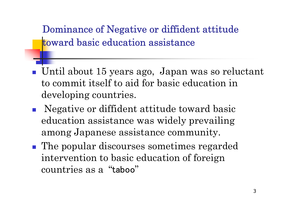Dominance of Negative or diffident attitude toward basic education assistance

- p. Until about 15 years ago, Japan was so reluctant to commit itself to aid for basic education in developing countries.
- p. Negative or diffident attitude toward basic education assistance was widely prevailing among Japanese assistance community.
- **The popular discourses sometimes regarded** intervention to basic education of foreign countries as a "taboo"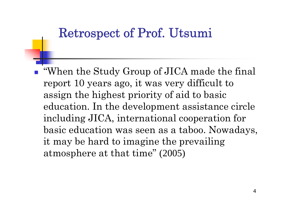# Retrospect of Prof. Utsumi

p. "When the Study Group of JICA made the final report 10 years ago, it was very difficult to assign the highest priority of aid to basic education. In the development assistance circle including JICA, international cooperation for basic education was seen as a taboo. Nowadays, it may be hard to imagine the prevailing atmosphere at that time" (2005)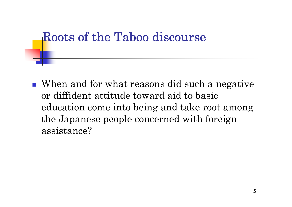## Roots of the Taboo discourse

■ When and for what reasons did such a negative or diffident attitude toward aid to basic education come into being and take root among the Japanese people concerned with foreign assistance?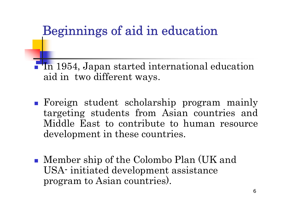## Beginnings of aid in education

 In 1954, Japan started international education aid in two different ways.

- Foreign student scholarship program mainly targeting students from Asian countries and Middle East to contribute to human resource development in these countries.
- Member ship of the Colombo Plan (UK and USA- initiated development assistance program to Asian countries).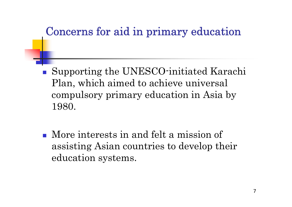### Concerns for aid in primary education

- p. Supporting the UNESCO-initiated Karachi Plan, which aimed to achieve universal compulsory primary education in Asia by 1980.
- **More interests in and felt a mission of** assisting Asian countries to develop their education systems.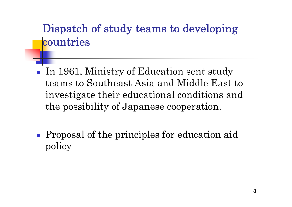### Dispatch of study teams to developing **countries**

- p. In 1961, Ministry of Education sent study teams to Southeast Asia and Middle East to investigate their educational conditions and the possibility of Japanese cooperation.
- **Proposal of the principles for education aid** policy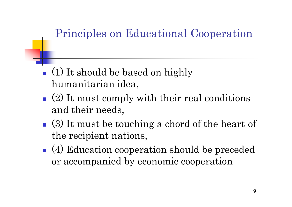### Principles on Educational Cooperation

- **(1)** It should be based on highly humanitarian idea,
- $\blacksquare$  (2) It must comply with their real conditions and their needs,
- (3) It must be touching a chord of the heart of the recipient nations,
- (4) Education cooperation should be preceded or accompanied by economic cooperation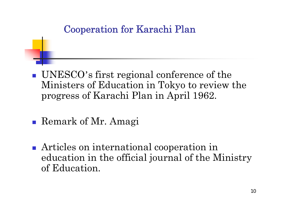#### Cooperation for Karachi Plan

- UNESCO's first regional conference of the Ministers of Education in Tokyo to review the progress of Karachi Plan in April 1962.
- Remark of Mr. Amagi
- Articles on international cooperation in education in the official journal of the Ministry of Education.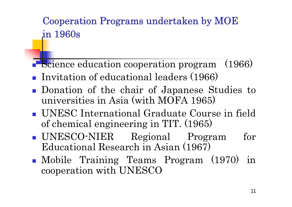#### Cooperation Programs undertaken by MOE in 1960s

- Science education cooperation program (1966)
- **Invitation of educational leaders (1966)**
- Donation of the chair of Japanese Studies to universities in Asia (with MOFA 1965)
- UNESC International Graduate Course in field of chemical engineering in TIT. (1965)
- UNESCO-NIER Regional Program for Educational Research in Asian (1967)
- Mobile Training Teams Program (1970) in cooperation with UNESCO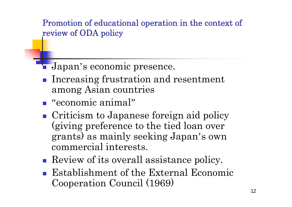Promotion of educational operation in the context of review of ODA policy

- Japan's economic presence.
- **Increasing frustration and resentment** among Asian countries
- "economic animal"
- **Criticism to Japanese foreign aid policy** (giving preference to the tied loan over grants) as mainly seeking Japan's own commercial interests.
- Review of its overall assistance policy.
- Establishment of the External Economic Cooperation Council (1969)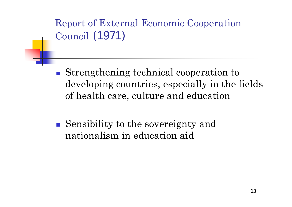Report of External Economic Cooperation Council (1971)

- Strengthening technical cooperation to developing countries, especially in the fields of health care, culture and education
- Sensibility to the sovereignty and nationalism in education aid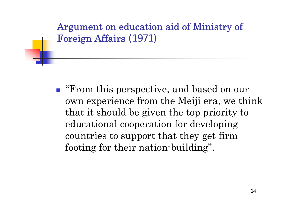# Argument on education aid of Ministry of Foreign Affairs (1971)

**Figure 1.5 From this perspective, and based on our** own experience from the Meiji era, we think that it should be given the top priority to educational cooperation for developing countries to support that they get firm footing for their nation-building".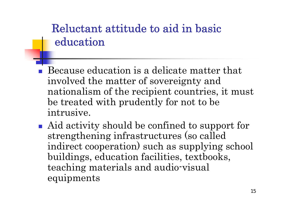### Reluctant attitude to aid in basiceducation

- **Because education is a delicate matter that** involved the matter of sovereignty and nationalism of the recipient countries, it must be treated with prudently for not to be intrusive.
- Aid activity should be confined to support for strengthening infrastructures (so called indirect cooperation) such as supplying school buildings, education facilities, textbooks, teaching materials and audio-visual equipments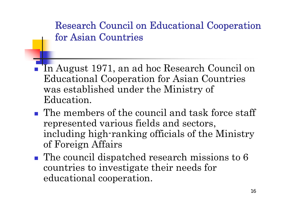Research Council on Educational Cooperation for Asian Countries

- F In August 1971, an ad hoc Research Council on Educational Cooperation for Asian Countries was established under the Ministry of Education.
- **The members of the council and task force staff** represented various fields and sectors, including high-ranking officials of the Ministry of Foreign Affairs
- **The council dispatched research missions to 6** countries to investigate their needs for educational cooperation.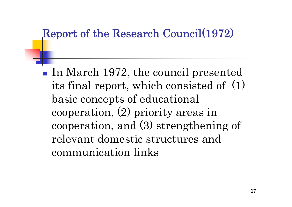### Report of the Research Council(1972)

In March 1972, the council presented its final report, which consisted of (1) basic concepts of educational cooperation, (2) priority areas in cooperation, and (3) strengthening of relevant domestic structures and communication links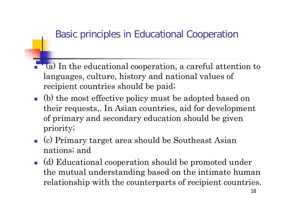#### Basic principles in Educational Cooperation

- $\overline{\phantom{a}}$  (a) In the educational cooperation, a careful attention to languages, culture, history and national values of recipient countries should be paid;
- (b) the most effective policy must be adopted based on their requests,. In Asian countries, aid for development of primary and secondary education should be given priority;
- (c) Primary target area should be Southeast Asian nations; and
- (d) Educational cooperation should be promoted under the mutual understanding based on the intimate human relationship with the counterparts of recipient countries.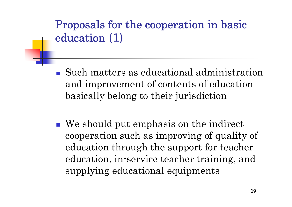# Proposals for the cooperation in basic education (1)

- Such matters as educational administration and improvement of contents of education basically belong to their jurisdiction
- We should put emphasis on the indirect cooperation such as improving of quality of education through the support for teacher education, in-service teacher training, and supplying educational equipments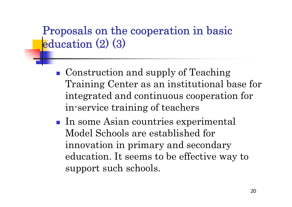### Proposals on the cooperation in basic education (2) (3)

- **Construction and supply of Teaching** Training Center as an institutional base for integrated and continuous cooperation for in-service training of teachers
- In some Asian countries experimental Model Schools are established for innovation in primary and secondary education. It seems to be effective way to support such schools.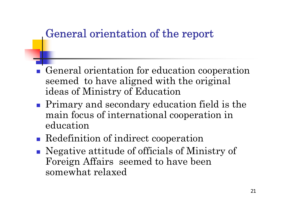### General orientation of the report

- General orientation for education cooperation seemed to have aligned with the original ideas of Ministry of Education
- **Primary and secondary education field is the** main focus of international cooperation in education
- **Redefinition of indirect cooperation**
- Negative attitude of officials of Ministry of Foreign Affairs seemed to have been somewhat relaxed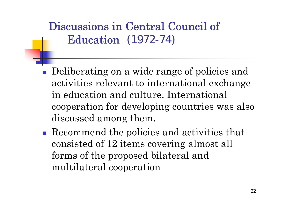# Discussions in Central Council of Education (1972-74)

- p. Deliberating on a wide range of policies and activities relevant to international exchange in education and culture. International cooperation for developing countries was also discussed among them.
- Recommend the policies and activities that consisted of 12 items covering almost all forms of the proposed bilateral and multilateral cooperation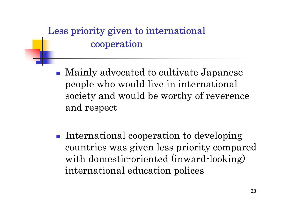### Less priority given to international cooperation

- Mainly advocated to cultivate Japanese people who would live in international society and would be worthy of reverence and respect
- $\mathcal{L}^{\text{max}}_{\text{max}}$  International cooperation to developing countries was given less priority compared with domestic-oriented (inward-looking) international education polices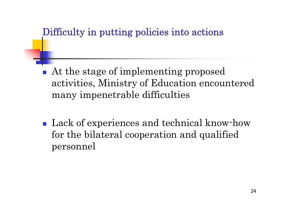#### Difficulty in putting policies into actions

- p. At the stage of implementing proposed activities, Ministry of Education encountered many impenetrable difficulties
- **Lack of experiences and technical know-how** for the bilateral cooperation and qualified personnel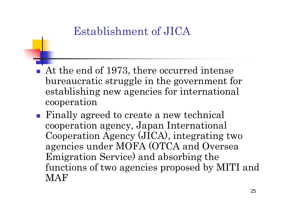### Establishment of JICA

- F At the end of 1973, there occurred intense bureaucratic struggle in the government for establishing new agencies for international cooperation
- Finally agreed to create a new technical cooperation agency, Japan International Cooperation Agency (JICA), integrating two agencies under MOFA (OTCA and Oversea Emigration Service) and absorbing the functions of two agencies proposed by MITI and **MAF**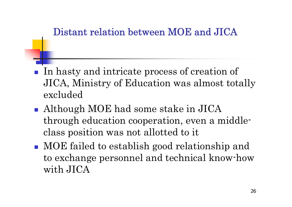#### Distant relation between MOE and JICA

- p. In hasty and intricate process of creation of JICA, Ministry of Education was almost totally excluded
- **Although MOE had some stake in JICA** through education cooperation, even a middleclass position was not allotted to it
- MOE failed to establish good relationship and to exchange personnel and technical know-how with JICA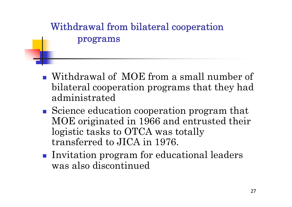#### Withdrawal from bilateral cooperation programs

- Withdrawal of MOE from a small number of bilateral cooperation programs that they had administrated
- Science education cooperation program that MOE originated in 1966 and entrusted their logistic tasks to OTCA was totally transferred to JICA in 1976.
- **Invitation program for educational leaders** was also discontinued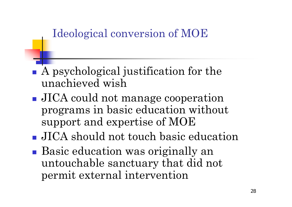### Ideological conversion of MOE

- A psychological justification for the unachieved wish
- **JICA** could not manage cooperation programs in basic education without support and expertise of MOE
- **JICA** should not touch basic education
- Basic education was originally an untouchable sanctuary that did not permit external intervention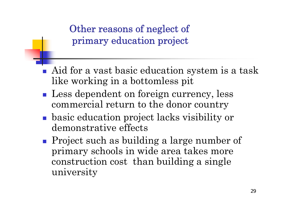Other reasons of neglect of primary education project

- F Aid for a vast basic education system is a task like working in a bottomless pit
- **Less dependent on foreign currency, less** commercial return to the donor country
- basic education project lacks visibility or demonstrative effects
- **Project such as building a large number of** primary schools in wide area takes more construction cost than building a single university